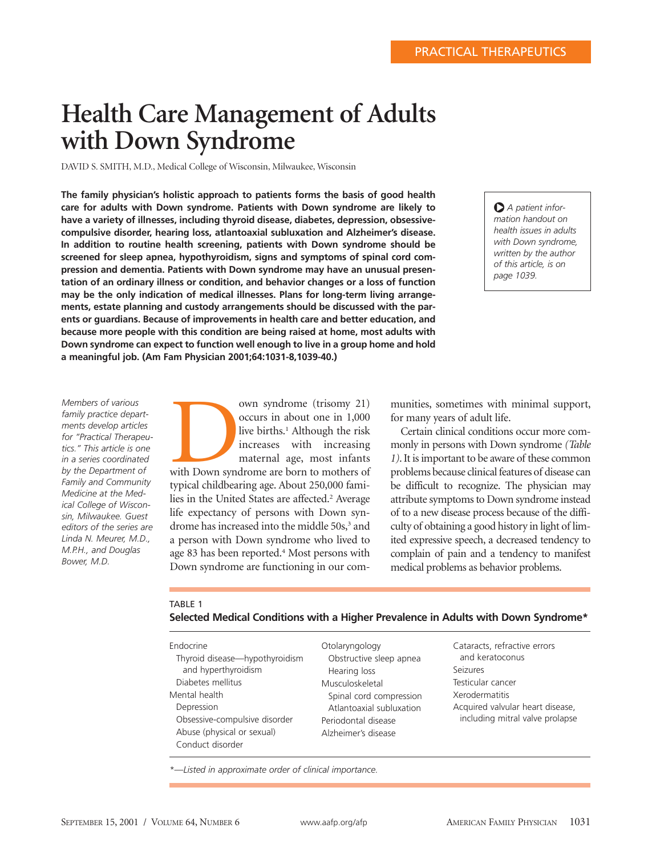# **Health Care Management of Adults with Down Syndrome**

DAVID S. SMITH, M.D., Medical College of Wisconsin, Milwaukee, Wisconsin

**The family physician's holistic approach to patients forms the basis of good health care for adults with Down syndrome. Patients with Down syndrome are likely to have a variety of illnesses, including thyroid disease, diabetes, depression, obsessivecompulsive disorder, hearing loss, atlantoaxial subluxation and Alzheimer's disease. In addition to routine health screening, patients with Down syndrome should be screened for sleep apnea, hypothyroidism, signs and symptoms of spinal cord compression and dementia. Patients with Down syndrome may have an unusual presentation of an ordinary illness or condition, and behavior changes or a loss of function may be the only indication of medical illnesses. Plans for long-term living arrangements, estate planning and custody arrangements should be discussed with the parents or guardians. Because of improvements in health care and better education, and because more people with this condition are being raised at home, most adults with Down syndrome can expect to function well enough to live in a group home and hold a meaningful job. (Am Fam Physician 2001;64:1031-8,1039-40.)**

O *A patient information handout on health issues in adults with Down syndrome, written by the author of this article, is on page 1039.*

*Members of various family practice departments develop articles for "Practical Therapeutics." This article is one in a series coordinated by the Department of Family and Community Medicine at the Medical College of Wisconsin, Milwaukee. Guest editors of the series are Linda N. Meurer, M.D., M.P.H., and Douglas Bower, M.D.*

with syndrome (trisomy 21)<br>occurs in about one in 1,000<br>live births.<sup>1</sup> Although the risk<br>increases with increasing<br>maternal age, most infants<br>with Down syndrome are born to mothers of<br>traical childbening age, About 250,00 occurs in about one in 1,000 live births.<sup>1</sup> Although the risk increases with increasing maternal age, most infants typical childbearing age. About 250,000 families in the United States are affected.<sup>2</sup> Average life expectancy of persons with Down syndrome has increased into the middle 50s,<sup>3</sup> and a person with Down syndrome who lived to age 83 has been reported.<sup>4</sup> Most persons with Down syndrome are functioning in our com-

munities, sometimes with minimal support, for many years of adult life.

Certain clinical conditions occur more commonly in persons with Down syndrome *(Table 1)*. It is important to be aware of these common problems because clinical features of disease can be difficult to recognize. The physician may attribute symptoms to Down syndrome instead of to a new disease process because of the difficulty of obtaining a good history in light of limited expressive speech, a decreased tendency to complain of pain and a tendency to manifest medical problems as behavior problems.

## TABLE 1

## **Selected Medical Conditions with a Higher Prevalence in Adults with Down Syndrome\***

| Endocrine<br>Thyroid disease-hypothyroidism<br>and hyperthyroidism<br>Diabetes mellitus<br>Mental health<br>Depression<br>Obsessive-compulsive disorder<br>Abuse (physical or sexual)<br>Conduct disorder | Otolaryngology<br>Obstructive sleep apnea<br>Hearing loss<br>Musculoskeletal<br>Spinal cord compression<br>Atlantoaxial subluxation<br>Periodontal disease<br>Alzheimer's disease | Cataracts, refractive errors<br>and keratoconus<br>Seizures<br>Testicular cancer<br>Xerodermatitis<br>Acquired valvular heart disease,<br>including mitral valve prolapse |
|-----------------------------------------------------------------------------------------------------------------------------------------------------------------------------------------------------------|-----------------------------------------------------------------------------------------------------------------------------------------------------------------------------------|---------------------------------------------------------------------------------------------------------------------------------------------------------------------------|
|-----------------------------------------------------------------------------------------------------------------------------------------------------------------------------------------------------------|-----------------------------------------------------------------------------------------------------------------------------------------------------------------------------------|---------------------------------------------------------------------------------------------------------------------------------------------------------------------------|

*\*—Listed in approximate order of clinical importance.*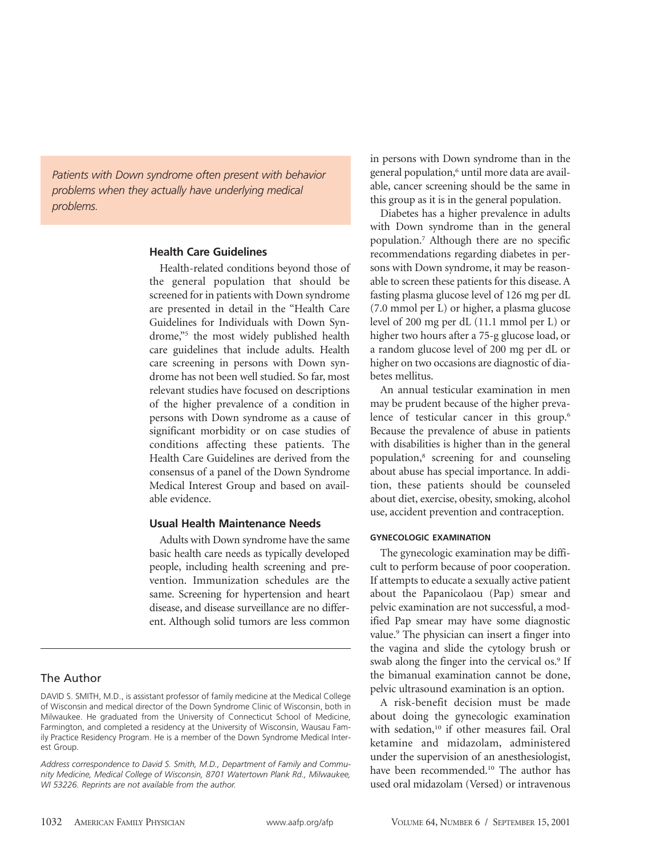*Patients with Down syndrome often present with behavior problems when they actually have underlying medical problems.*

## **Health Care Guidelines**

Health-related conditions beyond those of the general population that should be screened for in patients with Down syndrome are presented in detail in the "Health Care Guidelines for Individuals with Down Syndrome,"5 the most widely published health care guidelines that include adults. Health care screening in persons with Down syndrome has not been well studied. So far, most relevant studies have focused on descriptions of the higher prevalence of a condition in persons with Down syndrome as a cause of significant morbidity or on case studies of conditions affecting these patients. The Health Care Guidelines are derived from the consensus of a panel of the Down Syndrome Medical Interest Group and based on available evidence.

## **Usual Health Maintenance Needs**

Adults with Down syndrome have the same basic health care needs as typically developed people, including health screening and prevention. Immunization schedules are the same. Screening for hypertension and heart disease, and disease surveillance are no different. Although solid tumors are less common

## The Author

in persons with Down syndrome than in the general population,<sup>6</sup> until more data are available, cancer screening should be the same in this group as it is in the general population.

Diabetes has a higher prevalence in adults with Down syndrome than in the general population.7 Although there are no specific recommendations regarding diabetes in persons with Down syndrome, it may be reasonable to screen these patients for this disease. A fasting plasma glucose level of 126 mg per dL (7.0 mmol per L) or higher, a plasma glucose level of 200 mg per dL (11.1 mmol per L) or higher two hours after a 75-g glucose load, or a random glucose level of 200 mg per dL or higher on two occasions are diagnostic of diabetes mellitus.

An annual testicular examination in men may be prudent because of the higher prevalence of testicular cancer in this group.<sup>6</sup> Because the prevalence of abuse in patients with disabilities is higher than in the general population,8 screening for and counseling about abuse has special importance. In addition, these patients should be counseled about diet, exercise, obesity, smoking, alcohol use, accident prevention and contraception.

## **GYNECOLOGIC EXAMINATION**

The gynecologic examination may be difficult to perform because of poor cooperation. If attempts to educate a sexually active patient about the Papanicolaou (Pap) smear and pelvic examination are not successful, a modified Pap smear may have some diagnostic value.<sup>9</sup> The physician can insert a finger into the vagina and slide the cytology brush or swab along the finger into the cervical os.<sup>9</sup> If the bimanual examination cannot be done, pelvic ultrasound examination is an option.

A risk-benefit decision must be made about doing the gynecologic examination with sedation,<sup>10</sup> if other measures fail. Oral ketamine and midazolam, administered under the supervision of an anesthesiologist, have been recommended.<sup>10</sup> The author has used oral midazolam (Versed) or intravenous

DAVID S. SMITH, M.D., is assistant professor of family medicine at the Medical College of Wisconsin and medical director of the Down Syndrome Clinic of Wisconsin, both in Milwaukee. He graduated from the University of Connecticut School of Medicine, Farmington, and completed a residency at the University of Wisconsin, Wausau Family Practice Residency Program. He is a member of the Down Syndrome Medical Interest Group.

*Address correspondence to David S. Smith, M.D., Department of Family and Community Medicine, Medical College of Wisconsin, 8701 Watertown Plank Rd., Milwaukee, WI 53226. Reprints are not available from the author.*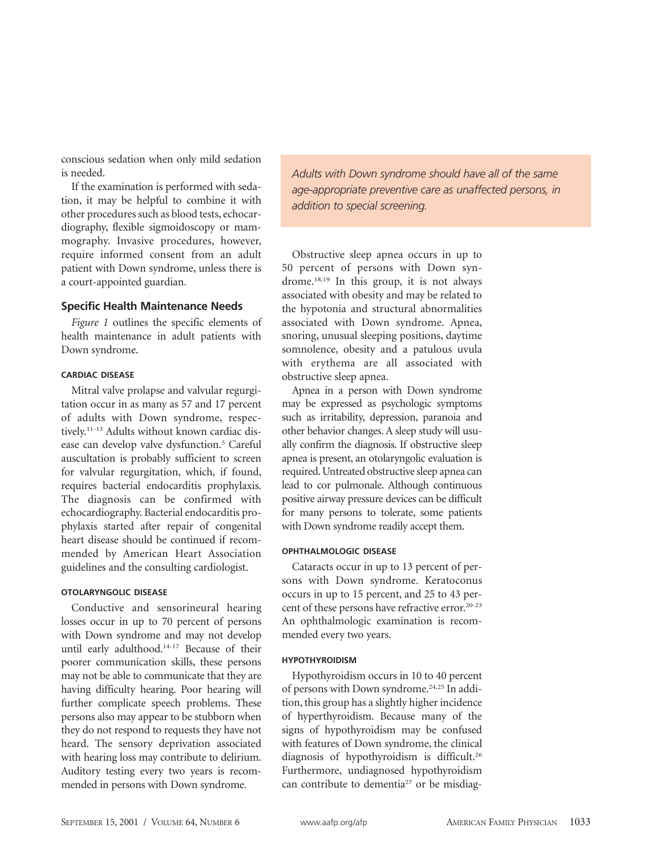conscious sedation when only mild sedation is needed.

If the examination is performed with sedation, it may be helpful to combine it with other procedures such as blood tests, echocardiography, flexible sigmoidoscopy or mammography. Invasive procedures, however, require informed consent from an adult patient with Down syndrome, unless there is a court-appointed guardian.

#### **Specific Health Maintenance Needs**

*Figure 1* outlines the specific elements of health maintenance in adult patients with Down syndrome.

## **CARDIAC DISEASE**

Mitral valve prolapse and valvular regurgitation occur in as many as 57 and 17 percent of adults with Down syndrome, respectively.11-13 Adults without known cardiac disease can develop valve dysfunction.<sup>5</sup> Careful auscultation is probably sufficient to screen for valvular regurgitation, which, if found, requires bacterial endocarditis prophylaxis. The diagnosis can be confirmed with echocardiography. Bacterial endocarditis prophylaxis started after repair of congenital heart disease should be continued if recommended by American Heart Association guidelines and the consulting cardiologist.

#### **OTOLARYNGOLIC DISEASE**

Conductive and sensorineural hearing losses occur in up to 70 percent of persons with Down syndrome and may not develop until early adulthood.14-17 Because of their poorer communication skills, these persons may not be able to communicate that they are having difficulty hearing. Poor hearing will further complicate speech problems. These persons also may appear to be stubborn when they do not respond to requests they have not heard. The sensory deprivation associated with hearing loss may contribute to delirium. Auditory testing every two years is recommended in persons with Down syndrome.

*Adults with Down syndrome should have all of the same age-appropriate preventive care as unaffected persons, in addition to special screening.*

Obstructive sleep apnea occurs in up to 50 percent of persons with Down syndrome.18,19 In this group, it is not always associated with obesity and may be related to the hypotonia and structural abnormalities associated with Down syndrome. Apnea, snoring, unusual sleeping positions, daytime somnolence, obesity and a patulous uvula with erythema are all associated with obstructive sleep apnea.

Apnea in a person with Down syndrome may be expressed as psychologic symptoms such as irritability, depression, paranoia and other behavior changes. A sleep study will usually confirm the diagnosis. If obstructive sleep apnea is present, an otolaryngolic evaluation is required. Untreated obstructive sleep apnea can lead to cor pulmonale. Although continuous positive airway pressure devices can be difficult for many persons to tolerate, some patients with Down syndrome readily accept them.

#### **OPHTHALMOLOGIC DISEASE**

Cataracts occur in up to 13 percent of persons with Down syndrome. Keratoconus occurs in up to 15 percent, and 25 to 43 percent of these persons have refractive error.<sup>20-23</sup> An ophthalmologic examination is recommended every two years.

## **HYPOTHYROIDISM**

Hypothyroidism occurs in 10 to 40 percent of persons with Down syndrome.<sup>24,25</sup> In addition, this group has a slightly higher incidence of hyperthyroidism. Because many of the signs of hypothyroidism may be confused with features of Down syndrome, the clinical diagnosis of hypothyroidism is difficult.26 Furthermore, undiagnosed hypothyroidism can contribute to dementia<sup>27</sup> or be misdiag-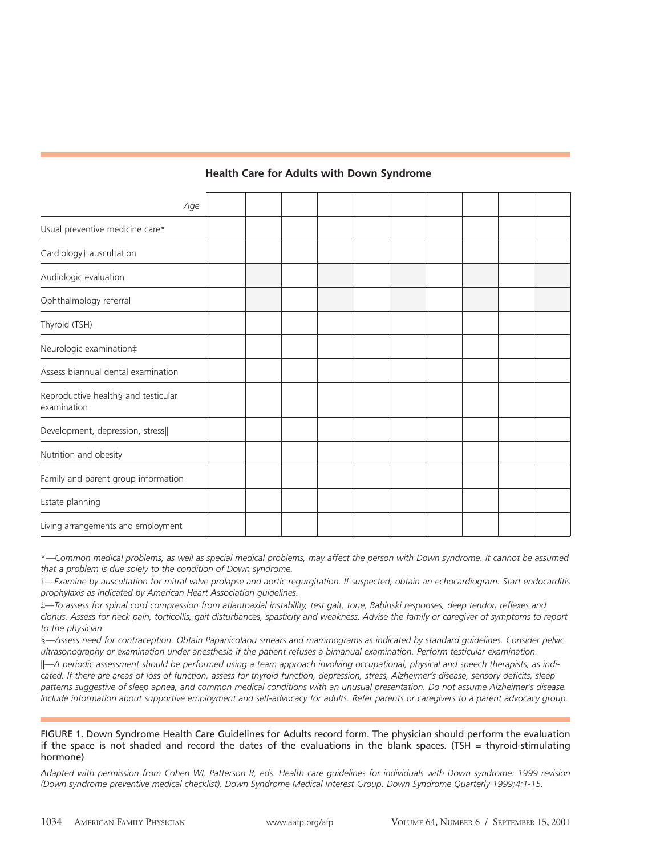# **Health Care for Adults with Down Syndrome**

| Age                                                |  |  |  |  |  |
|----------------------------------------------------|--|--|--|--|--|
| Usual preventive medicine care*                    |  |  |  |  |  |
| Cardiology <sup>†</sup> auscultation               |  |  |  |  |  |
| Audiologic evaluation                              |  |  |  |  |  |
| Ophthalmology referral                             |  |  |  |  |  |
| Thyroid (TSH)                                      |  |  |  |  |  |
| Neurologic examination;                            |  |  |  |  |  |
| Assess biannual dental examination                 |  |  |  |  |  |
| Reproductive health§ and testicular<br>examination |  |  |  |  |  |
| Development, depression, stress                    |  |  |  |  |  |
| Nutrition and obesity                              |  |  |  |  |  |
| Family and parent group information                |  |  |  |  |  |
| Estate planning                                    |  |  |  |  |  |
| Living arrangements and employment                 |  |  |  |  |  |

\**—Common medical problems, as well as special medical problems, may affect the person with Down syndrome. It cannot be assumed that a problem is due solely to the condition of Down syndrome.*

†*—Examine by auscultation for mitral valve prolapse and aortic regurgitation. If suspected, obtain an echocardiogram. Start endocarditis prophylaxis as indicated by American Heart Association guidelines.*

‡*—To assess for spinal cord compression from atlantoaxial instability, test gait, tone, Babinski responses, deep tendon reflexes and clonus. Assess for neck pain, torticollis, gait disturbances, spasticity and weakness. Advise the family or caregiver of symptoms to report to the physician.*

§*—Assess need for contraception. Obtain Papanicolaou smears and mammograms as indicated by standard guidelines. Consider pelvic ultrasonography or examination under anesthesia if the patient refuses a bimanual examination. Perform testicular examination.*

||*—A periodic assessment should be performed using a team approach involving occupational, physical and speech therapists, as indicated. If there are areas of loss of function, assess for thyroid function, depression, stress, Alzheimer's disease, sensory deficits, sleep patterns suggestive of sleep apnea, and common medical conditions with an unusual presentation. Do not assume Alzheimer's disease. Include information about supportive employment and self-advocacy for adults. Refer parents or caregivers to a parent advocacy group.*

FIGURE 1. Down Syndrome Health Care Guidelines for Adults record form. The physician should perform the evaluation if the space is not shaded and record the dates of the evaluations in the blank spaces. (TSH = thyroid-stimulating hormone)

*Adapted with permission from Cohen WI, Patterson B, eds. Health care guidelines for individuals with Down syndrome: 1999 revision (Down syndrome preventive medical checklist). Down Syndrome Medical Interest Group. Down Syndrome Quarterly 1999;4:1-15.*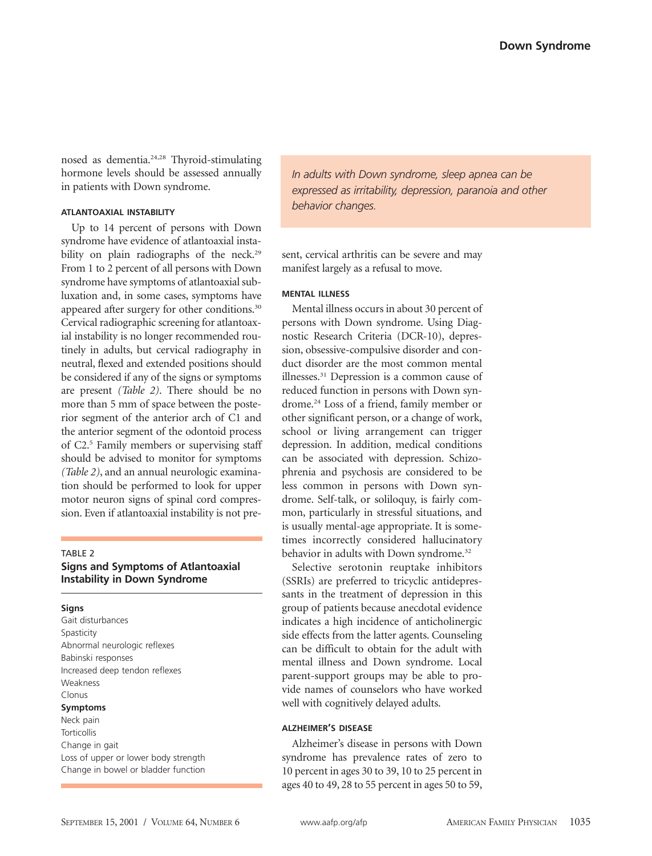nosed as dementia.<sup>24,28</sup> Thyroid-stimulating hormone levels should be assessed annually in patients with Down syndrome.

## **ATLANTOAXIAL INSTABILITY**

Up to 14 percent of persons with Down syndrome have evidence of atlantoaxial instability on plain radiographs of the neck.<sup>29</sup> From 1 to 2 percent of all persons with Down syndrome have symptoms of atlantoaxial subluxation and, in some cases, symptoms have appeared after surgery for other conditions.<sup>30</sup> Cervical radiographic screening for atlantoaxial instability is no longer recommended routinely in adults, but cervical radiography in neutral, flexed and extended positions should be considered if any of the signs or symptoms are present *(Table 2)*. There should be no more than 5 mm of space between the posterior segment of the anterior arch of C1 and the anterior segment of the odontoid process of C2.<sup>5</sup> Family members or supervising staff should be advised to monitor for symptoms *(Table 2)*, and an annual neurologic examination should be performed to look for upper motor neuron signs of spinal cord compression. Even if atlantoaxial instability is not pre-

## TABLE 2

## **Signs and Symptoms of Atlantoaxial Instability in Down Syndrome**

#### **Signs**

Gait disturbances Spasticity Abnormal neurologic reflexes Babinski responses Increased deep tendon reflexes Weakness Clonus **Symptoms**

# Neck pain **Torticollis** Change in gait Loss of upper or lower body strength Change in bowel or bladder function

*In adults with Down syndrome, sleep apnea can be expressed as irritability, depression, paranoia and other behavior changes.*

sent, cervical arthritis can be severe and may manifest largely as a refusal to move.

#### **MENTAL ILLNESS**

Mental illness occurs in about 30 percent of persons with Down syndrome. Using Diagnostic Research Criteria (DCR-10), depression, obsessive-compulsive disorder and conduct disorder are the most common mental illnesses.31 Depression is a common cause of reduced function in persons with Down syndrome.24 Loss of a friend, family member or other significant person, or a change of work, school or living arrangement can trigger depression. In addition, medical conditions can be associated with depression. Schizophrenia and psychosis are considered to be less common in persons with Down syndrome. Self-talk, or soliloquy, is fairly common, particularly in stressful situations, and is usually mental-age appropriate. It is sometimes incorrectly considered hallucinatory behavior in adults with Down syndrome.<sup>32</sup>

Selective serotonin reuptake inhibitors (SSRIs) are preferred to tricyclic antidepressants in the treatment of depression in this group of patients because anecdotal evidence indicates a high incidence of anticholinergic side effects from the latter agents. Counseling can be difficult to obtain for the adult with mental illness and Down syndrome. Local parent-support groups may be able to provide names of counselors who have worked well with cognitively delayed adults.

## **ALZHEIMER'S DISEASE**

Alzheimer's disease in persons with Down syndrome has prevalence rates of zero to 10 percent in ages 30 to 39, 10 to 25 percent in ages 40 to 49, 28 to 55 percent in ages 50 to 59,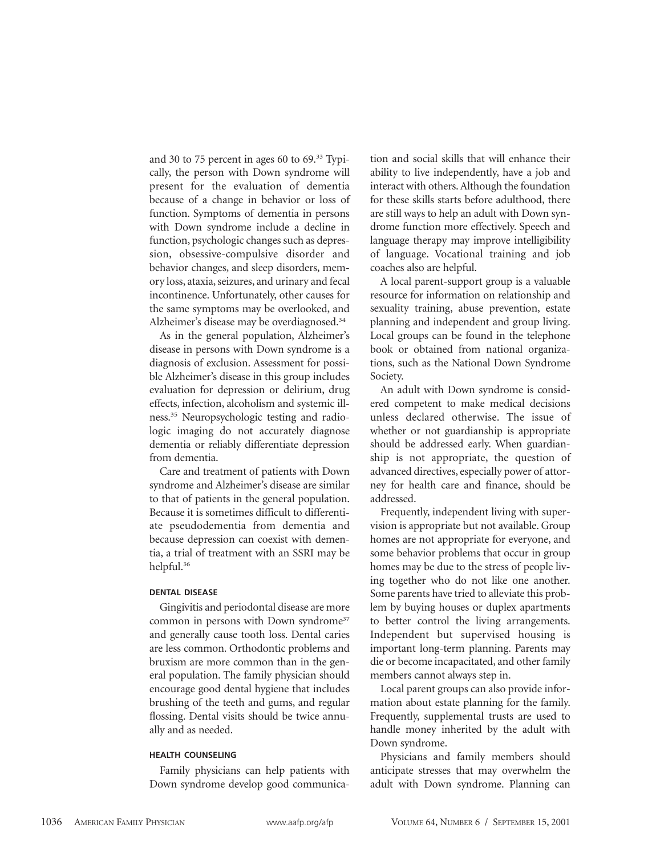and 30 to 75 percent in ages 60 to 69.33 Typically, the person with Down syndrome will present for the evaluation of dementia because of a change in behavior or loss of function. Symptoms of dementia in persons with Down syndrome include a decline in function, psychologic changes such as depression, obsessive-compulsive disorder and behavior changes, and sleep disorders, memory loss, ataxia, seizures, and urinary and fecal incontinence. Unfortunately, other causes for the same symptoms may be overlooked, and Alzheimer's disease may be overdiagnosed.<sup>34</sup>

As in the general population, Alzheimer's disease in persons with Down syndrome is a diagnosis of exclusion. Assessment for possible Alzheimer's disease in this group includes evaluation for depression or delirium, drug effects, infection, alcoholism and systemic illness.35 Neuropsychologic testing and radiologic imaging do not accurately diagnose dementia or reliably differentiate depression from dementia.

Care and treatment of patients with Down syndrome and Alzheimer's disease are similar to that of patients in the general population. Because it is sometimes difficult to differentiate pseudodementia from dementia and because depression can coexist with dementia, a trial of treatment with an SSRI may be helpful.36

#### **DENTAL DISEASE**

Gingivitis and periodontal disease are more common in persons with Down syndrome<sup>37</sup> and generally cause tooth loss. Dental caries are less common. Orthodontic problems and bruxism are more common than in the general population. The family physician should encourage good dental hygiene that includes brushing of the teeth and gums, and regular flossing. Dental visits should be twice annually and as needed.

#### **HEALTH COUNSELING**

Family physicians can help patients with Down syndrome develop good communica-

tion and social skills that will enhance their ability to live independently, have a job and interact with others. Although the foundation for these skills starts before adulthood, there are still ways to help an adult with Down syndrome function more effectively. Speech and language therapy may improve intelligibility of language. Vocational training and job coaches also are helpful.

A local parent-support group is a valuable resource for information on relationship and sexuality training, abuse prevention, estate planning and independent and group living. Local groups can be found in the telephone book or obtained from national organizations, such as the National Down Syndrome Society.

An adult with Down syndrome is considered competent to make medical decisions unless declared otherwise. The issue of whether or not guardianship is appropriate should be addressed early. When guardianship is not appropriate, the question of advanced directives, especially power of attorney for health care and finance, should be addressed.

Frequently, independent living with supervision is appropriate but not available. Group homes are not appropriate for everyone, and some behavior problems that occur in group homes may be due to the stress of people living together who do not like one another. Some parents have tried to alleviate this problem by buying houses or duplex apartments to better control the living arrangements. Independent but supervised housing is important long-term planning. Parents may die or become incapacitated, and other family members cannot always step in.

Local parent groups can also provide information about estate planning for the family. Frequently, supplemental trusts are used to handle money inherited by the adult with Down syndrome.

Physicians and family members should anticipate stresses that may overwhelm the adult with Down syndrome. Planning can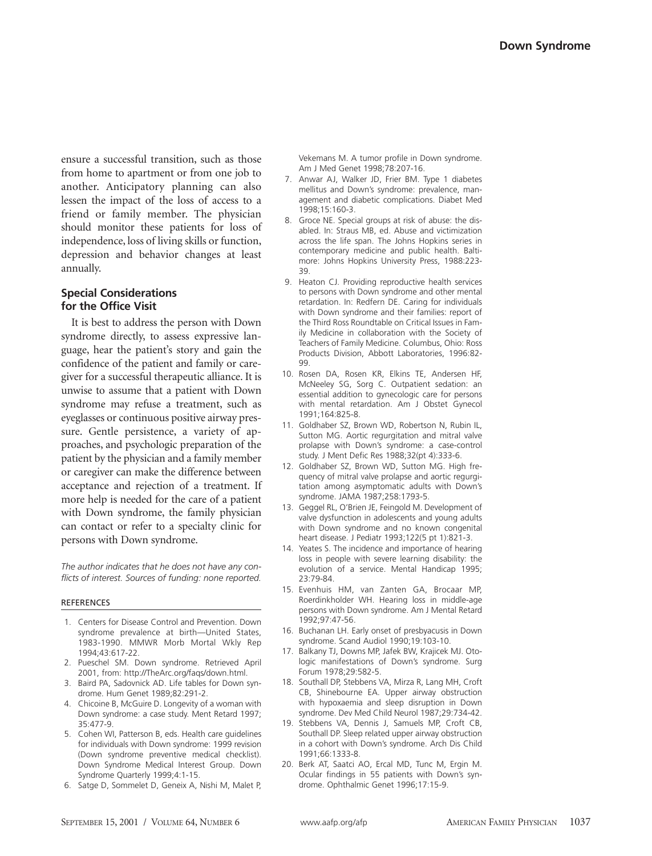ensure a successful transition, such as those from home to apartment or from one job to another. Anticipatory planning can also lessen the impact of the loss of access to a friend or family member. The physician should monitor these patients for loss of independence, loss of living skills or function, depression and behavior changes at least annually.

# **Special Considerations for the Office Visit**

It is best to address the person with Down syndrome directly, to assess expressive language, hear the patient's story and gain the confidence of the patient and family or caregiver for a successful therapeutic alliance. It is unwise to assume that a patient with Down syndrome may refuse a treatment, such as eyeglasses or continuous positive airway pressure. Gentle persistence, a variety of approaches, and psychologic preparation of the patient by the physician and a family member or caregiver can make the difference between acceptance and rejection of a treatment. If more help is needed for the care of a patient with Down syndrome, the family physician can contact or refer to a specialty clinic for persons with Down syndrome.

*The author indicates that he does not have any conflicts of interest. Sources of funding: none reported.*

#### REFERENCES

- 1. Centers for Disease Control and Prevention. Down syndrome prevalence at birth—United States, 1983-1990. MMWR Morb Mortal Wkly Rep 1994;43:617-22.
- 2. Pueschel SM. Down syndrome. Retrieved April 2001, from: http://TheArc.org/faqs/down.html.
- 3. Baird PA, Sadovnick AD. Life tables for Down syndrome. Hum Genet 1989;82:291-2.
- 4. Chicoine B, McGuire D. Longevity of a woman with Down syndrome: a case study. Ment Retard 1997; 35:477-9.
- 5. Cohen WI, Patterson B, eds. Health care guidelines for individuals with Down syndrome: 1999 revision (Down syndrome preventive medical checklist). Down Syndrome Medical Interest Group. Down Syndrome Quarterly 1999;4:1-15.
- 6. Satge D, Sommelet D, Geneix A, Nishi M, Malet P,

Vekemans M. A tumor profile in Down syndrome. Am J Med Genet 1998;78:207-16.

- 7. Anwar AJ, Walker JD, Frier BM. Type 1 diabetes mellitus and Down's syndrome: prevalence, management and diabetic complications. Diabet Med 1998;15:160-3.
- 8. Groce NE. Special groups at risk of abuse: the disabled. In: Straus MB, ed. Abuse and victimization across the life span. The Johns Hopkins series in contemporary medicine and public health. Baltimore: Johns Hopkins University Press, 1988:223- 39.
- 9. Heaton CJ. Providing reproductive health services to persons with Down syndrome and other mental retardation. In: Redfern DE. Caring for individuals with Down syndrome and their families: report of the Third Ross Roundtable on Critical Issues in Family Medicine in collaboration with the Society of Teachers of Family Medicine. Columbus, Ohio: Ross Products Division, Abbott Laboratories, 1996:82- 99.
- 10. Rosen DA, Rosen KR, Elkins TE, Andersen HF, McNeeley SG, Sorg C. Outpatient sedation: an essential addition to gynecologic care for persons with mental retardation. Am J Obstet Gynecol 1991;164:825-8.
- 11. Goldhaber SZ, Brown WD, Robertson N, Rubin IL, Sutton MG. Aortic regurgitation and mitral valve prolapse with Down's syndrome: a case-control study. J Ment Defic Res 1988;32(pt 4):333-6.
- 12. Goldhaber SZ, Brown WD, Sutton MG. High frequency of mitral valve prolapse and aortic regurgitation among asymptomatic adults with Down's syndrome. JAMA 1987;258:1793-5.
- 13. Geggel RL, O'Brien JE, Feingold M. Development of valve dysfunction in adolescents and young adults with Down syndrome and no known congenital heart disease. J Pediatr 1993;122(5 pt 1):821-3.
- 14. Yeates S. The incidence and importance of hearing loss in people with severe learning disability: the evolution of a service. Mental Handicap 1995; 23:79-84.
- 15. Evenhuis HM, van Zanten GA, Brocaar MP, Roerdinkholder WH. Hearing loss in middle-age persons with Down syndrome. Am J Mental Retard 1992;97:47-56.
- 16. Buchanan LH. Early onset of presbyacusis in Down syndrome. Scand Audiol 1990;19:103-10.
- 17. Balkany TJ, Downs MP, Jafek BW, Krajicek MJ. Otologic manifestations of Down's syndrome. Surg Forum 1978;29:582-5.
- 18. Southall DP, Stebbens VA, Mirza R, Lang MH, Croft CB, Shinebourne EA. Upper airway obstruction with hypoxaemia and sleep disruption in Down syndrome. Dev Med Child Neurol 1987;29:734-42.
- 19. Stebbens VA, Dennis J, Samuels MP, Croft CB, Southall DP. Sleep related upper airway obstruction in a cohort with Down's syndrome. Arch Dis Child 1991;66:1333-8.
- 20. Berk AT, Saatci AO, Ercal MD, Tunc M, Ergin M. Ocular findings in 55 patients with Down's syndrome. Ophthalmic Genet 1996;17:15-9.